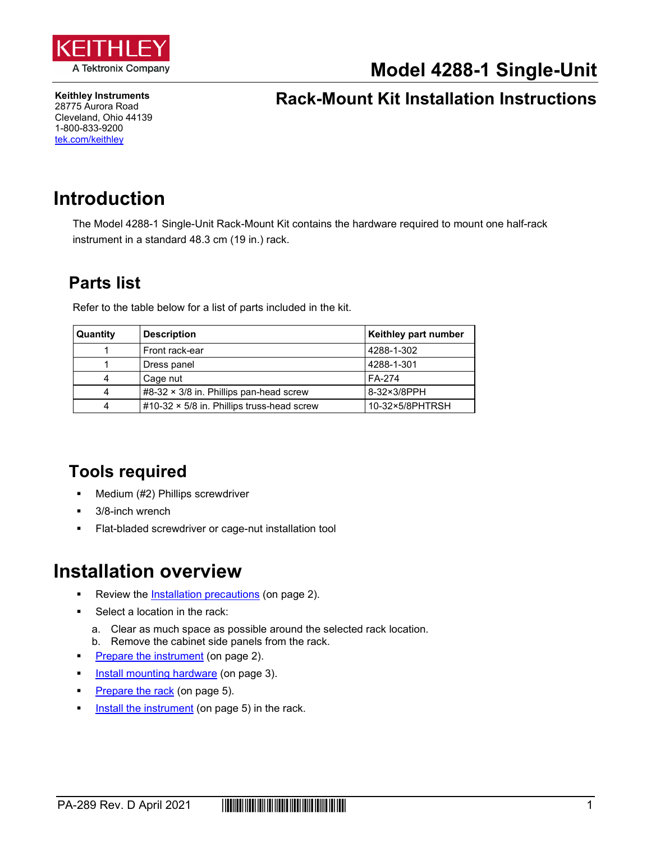

**Keithley Instruments** 28775 Aurora Road Cleveland, Ohio 44139 1-800-833-9200 [tek.com/keithley](https://www.tek.com/keithley)

# **Model 4288-1 Single-Unit**

### **Rack-Mount Kit Installation Instructions**

## **Introduction**

The Model 4288-1 Single-Unit Rack-Mount Kit contains the hardware required to mount one half-rack instrument in a standard 48.3 cm (19 in.) rack.

### **Parts list**

Refer to the table below for a list of parts included in the kit.

| Quantity | <b>Description</b>                                 | Keithley part number |
|----------|----------------------------------------------------|----------------------|
|          | Front rack-ear                                     | 4288-1-302           |
|          | Dress panel                                        | 4288-1-301           |
| 4        | Cage nut                                           | FA-274               |
| 4        | $#8-32 \times 3/8$ in. Phillips pan-head screw     | 8-32×3/8PPH          |
| 4        | $\#10-32 \times 5/8$ in. Phillips truss-head screw | 10-32×5/8PHTRSH      |

### **Tools required**

- **Medium (#2) Phillips screwdriver**
- 3/8-inch wrench
- Flat-bladed screwdriver or cage-nut installation tool

### **Installation overview**

- Review the [Installation precautions](#page-1-0) (on page [2\)](#page-1-0).
- Select a location in the rack:
	- a. Clear as much space as possible around the selected rack location.
	- b. Remove the cabinet side panels from the rack.
- **[Prepare the instrument](#page-1-1) (on page [2\)](#page-1-1).**
- [Install mounting hardware](#page-2-0) (on page [3\)](#page-2-0).
- [Prepare the rack](#page-4-0) (on page [5\)](#page-4-0).
- [Install the instrument](#page-4-1) (on page [5\)](#page-4-1) in the rack.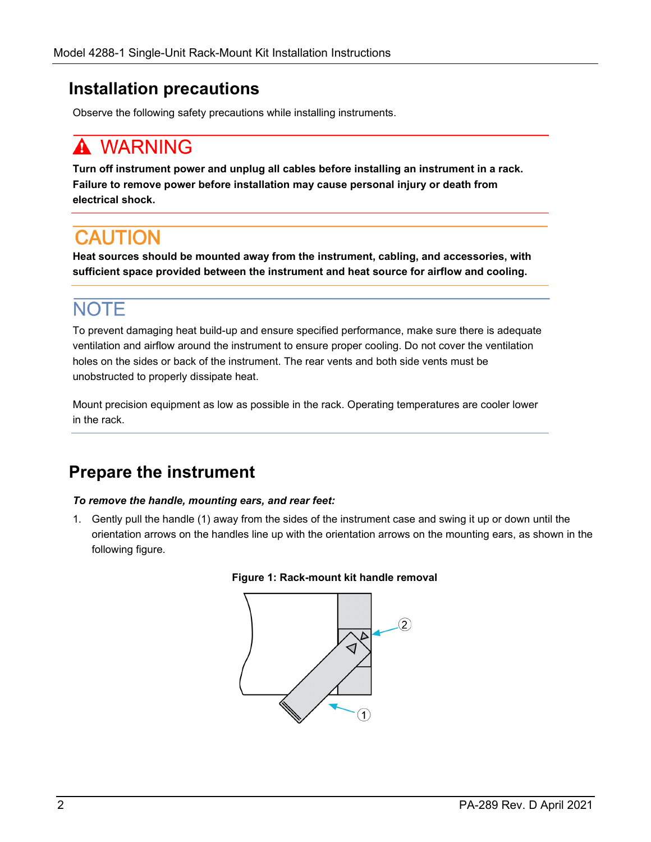### <span id="page-1-0"></span>**Installation precautions**

Observe the following safety precautions while installing instruments.

# **WARNING**

**Turn off instrument power and unplug all cables before installing an instrument in a rack. Failure to remove power before installation may cause personal injury or death from electrical shock.**

# **CAUTION**

**Heat sources should be mounted away from the instrument, cabling, and accessories, with sufficient space provided between the instrument and heat source for airflow and cooling.**

### **NOTE**

To prevent damaging heat build-up and ensure specified performance, make sure there is adequate ventilation and airflow around the instrument to ensure proper cooling. Do not cover the ventilation holes on the sides or back of the instrument. The rear vents and both side vents must be unobstructed to properly dissipate heat.

Mount precision equipment as low as possible in the rack. Operating temperatures are cooler lower in the rack.

### <span id="page-1-1"></span>**Prepare the instrument**

### *To remove the handle, mounting ears, and rear feet:*

1. Gently pull the handle (1) away from the sides of the instrument case and swing it up or down until the orientation arrows on the handles line up with the orientation arrows on the mounting ears, as shown in the following figure.



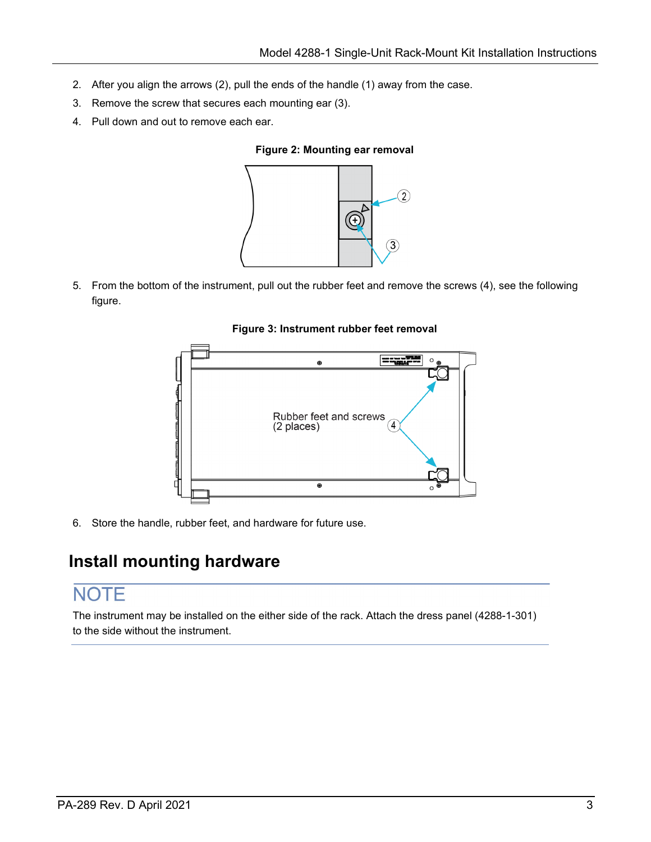- 2. After you align the arrows (2), pull the ends of the handle (1) away from the case.
- 3. Remove the screw that secures each mounting ear (3).
- 4. Pull down and out to remove each ear.

#### **Figure 2: Mounting ear removal**



5. From the bottom of the instrument, pull out the rubber feet and remove the screws (4), see the following figure.



#### **Figure 3: Instrument rubber feet removal**

6. Store the handle, rubber feet, and hardware for future use.

### <span id="page-2-0"></span>**Install mounting hardware**

### **NOTE**

The instrument may be installed on the either side of the rack. Attach the dress panel (4288-1-301) to the side without the instrument.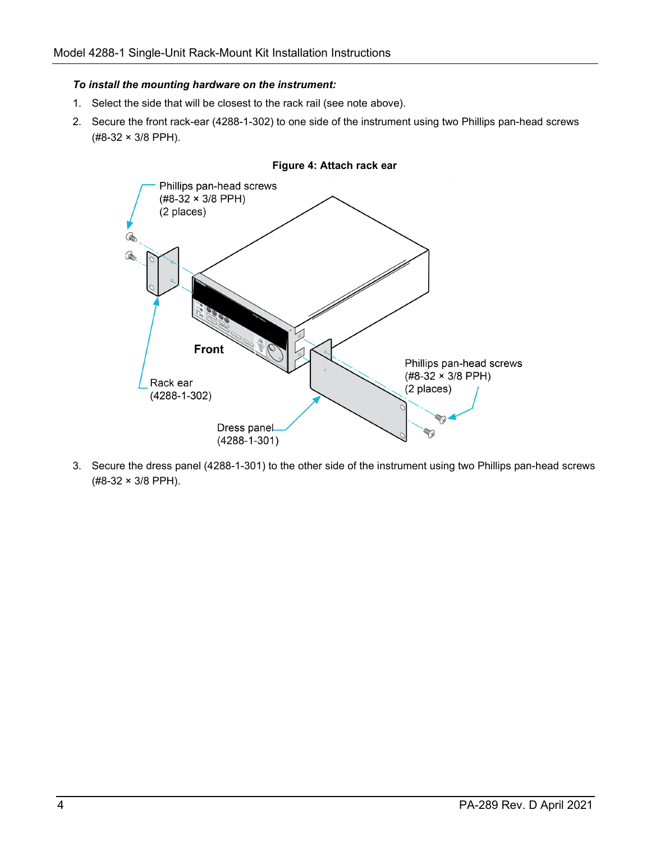#### *To install the mounting hardware on the instrument:*

- 1. Select the side that will be closest to the rack rail (see note above).
- 2. Secure the front rack-ear (4288-1-302) to one side of the instrument using two Phillips pan-head screws (#8-32 × 3/8 PPH).



**Figure 4: Attach rack ear**

3. Secure the dress panel (4288-1-301) to the other side of the instrument using two Phillips pan-head screws (#8-32 × 3/8 PPH).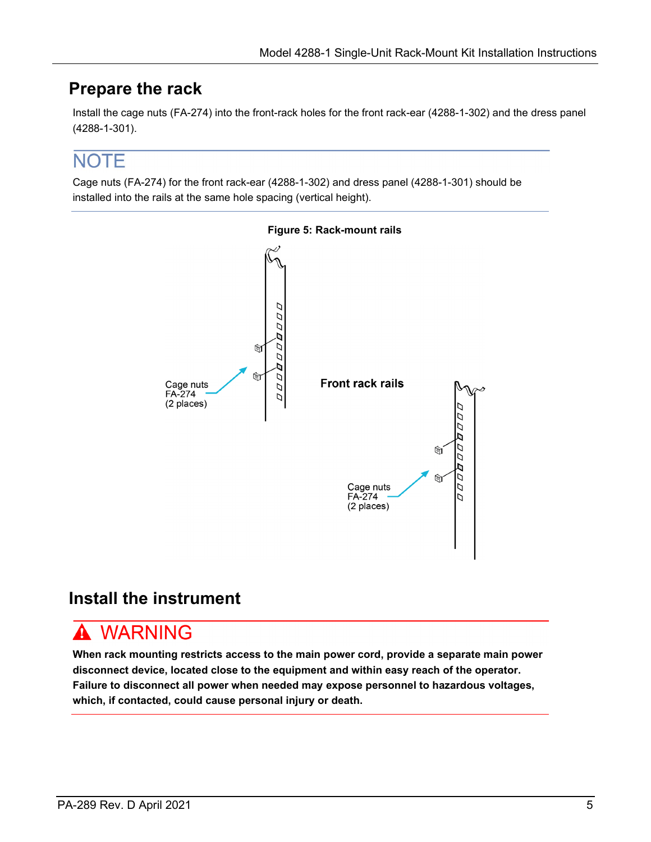### <span id="page-4-0"></span>**Prepare the rack**

Install the cage nuts (FA-274) into the front-rack holes for the front rack-ear (4288-1-302) and the dress panel (4288-1-301).

# **NOTE**

Cage nuts (FA-274) for the front rack-ear (4288-1-302) and dress panel (4288-1-301) should be installed into the rails at the same hole spacing (vertical height).



### <span id="page-4-1"></span>**Install the instrument**

# **A WARNING**

**When rack mounting restricts access to the main power cord, provide a separate main power disconnect device, located close to the equipment and within easy reach of the operator. Failure to disconnect all power when needed may expose personnel to hazardous voltages, which, if contacted, could cause personal injury or death.**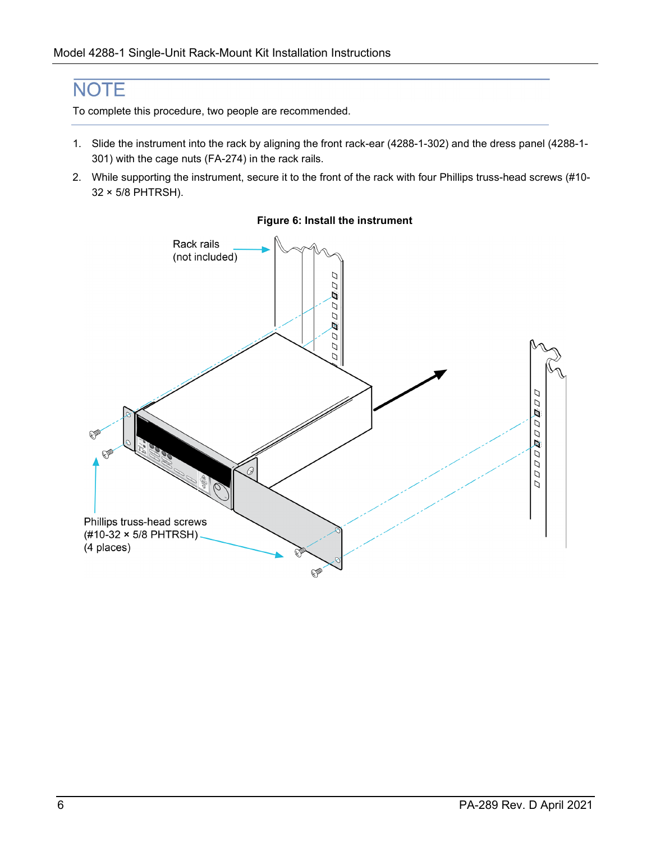### **NOTE**

To complete this procedure, two people are recommended.

- 1. Slide the instrument into the rack by aligning the front rack-ear (4288-1-302) and the dress panel (4288-1- 301) with the cage nuts (FA-274) in the rack rails.
- 2. While supporting the instrument, secure it to the front of the rack with four Phillips truss-head screws (#10- 32 × 5/8 PHTRSH).



#### **Figure 6: Install the instrument**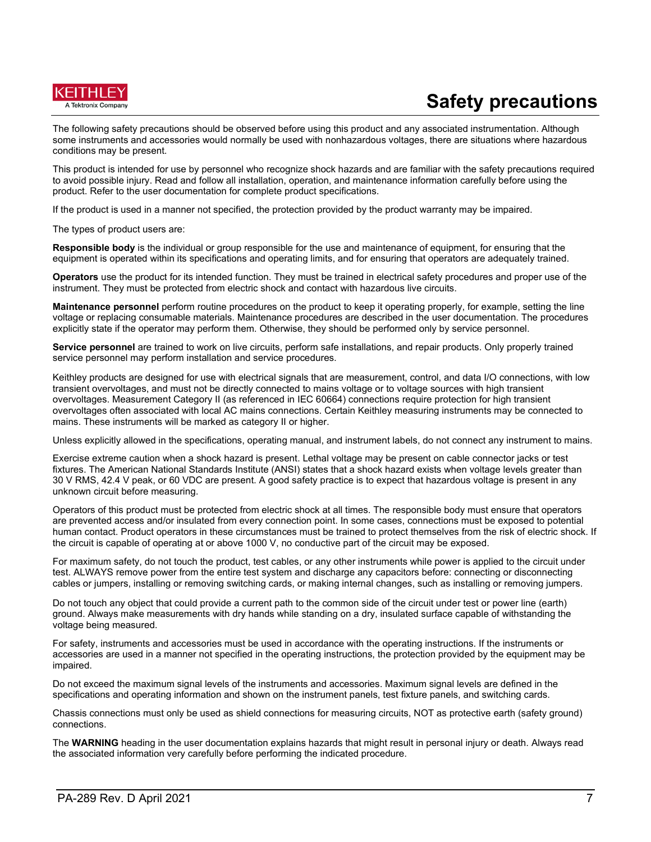

# **Safety precautions**

The following safety precautions should be observed before using this product and any associated instrumentation. Although some instruments and accessories would normally be used with nonhazardous voltages, there are situations where hazardous conditions may be present.

This product is intended for use by personnel who recognize shock hazards and are familiar with the safety precautions required to avoid possible injury. Read and follow all installation, operation, and maintenance information carefully before using the product. Refer to the user documentation for complete product specifications.

If the product is used in a manner not specified, the protection provided by the product warranty may be impaired.

The types of product users are:

**Responsible body** is the individual or group responsible for the use and maintenance of equipment, for ensuring that the equipment is operated within its specifications and operating limits, and for ensuring that operators are adequately trained.

**Operators** use the product for its intended function. They must be trained in electrical safety procedures and proper use of the instrument. They must be protected from electric shock and contact with hazardous live circuits.

**Maintenance personnel** perform routine procedures on the product to keep it operating properly, for example, setting the line voltage or replacing consumable materials. Maintenance procedures are described in the user documentation. The procedures explicitly state if the operator may perform them. Otherwise, they should be performed only by service personnel.

**Service personnel** are trained to work on live circuits, perform safe installations, and repair products. Only properly trained service personnel may perform installation and service procedures.

Keithley products are designed for use with electrical signals that are measurement, control, and data I/O connections, with low transient overvoltages, and must not be directly connected to mains voltage or to voltage sources with high transient overvoltages. Measurement Category II (as referenced in IEC 60664) connections require protection for high transient overvoltages often associated with local AC mains connections. Certain Keithley measuring instruments may be connected to mains. These instruments will be marked as category II or higher.

Unless explicitly allowed in the specifications, operating manual, and instrument labels, do not connect any instrument to mains.

Exercise extreme caution when a shock hazard is present. Lethal voltage may be present on cable connector jacks or test fixtures. The American National Standards Institute (ANSI) states that a shock hazard exists when voltage levels greater than 30 V RMS, 42.4 V peak, or 60 VDC are present. A good safety practice is to expect that hazardous voltage is present in any unknown circuit before measuring.

Operators of this product must be protected from electric shock at all times. The responsible body must ensure that operators are prevented access and/or insulated from every connection point. In some cases, connections must be exposed to potential human contact. Product operators in these circumstances must be trained to protect themselves from the risk of electric shock. If the circuit is capable of operating at or above 1000 V, no conductive part of the circuit may be exposed.

For maximum safety, do not touch the product, test cables, or any other instruments while power is applied to the circuit under test. ALWAYS remove power from the entire test system and discharge any capacitors before: connecting or disconnecting cables or jumpers, installing or removing switching cards, or making internal changes, such as installing or removing jumpers.

Do not touch any object that could provide a current path to the common side of the circuit under test or power line (earth) ground. Always make measurements with dry hands while standing on a dry, insulated surface capable of withstanding the voltage being measured.

For safety, instruments and accessories must be used in accordance with the operating instructions. If the instruments or accessories are used in a manner not specified in the operating instructions, the protection provided by the equipment may be impaired.

Do not exceed the maximum signal levels of the instruments and accessories. Maximum signal levels are defined in the specifications and operating information and shown on the instrument panels, test fixture panels, and switching cards.

Chassis connections must only be used as shield connections for measuring circuits, NOT as protective earth (safety ground) connections.

The **WARNING** heading in the user documentation explains hazards that might result in personal injury or death. Always read the associated information very carefully before performing the indicated procedure.